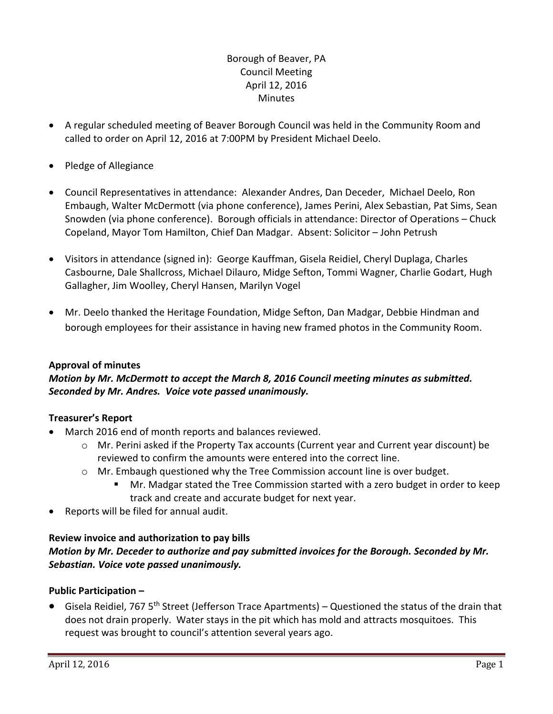# Borough of Beaver, PA Council Meeting April 12, 2016 **Minutes**

- A regular scheduled meeting of Beaver Borough Council was held in the Community Room and called to order on April 12, 2016 at 7:00PM by President Michael Deelo.
- Pledge of Allegiance
- Council Representatives in attendance: Alexander Andres, Dan Deceder, Michael Deelo, Ron Embaugh, Walter McDermott (via phone conference), James Perini, Alex Sebastian, Pat Sims, Sean Snowden (via phone conference). Borough officials in attendance: Director of Operations – Chuck Copeland, Mayor Tom Hamilton, Chief Dan Madgar. Absent: Solicitor – John Petrush
- Visitors in attendance (signed in): George Kauffman, Gisela Reidiel, Cheryl Duplaga, Charles Casbourne, Dale Shallcross, Michael Dilauro, Midge Sefton, Tommi Wagner, Charlie Godart, Hugh Gallagher, Jim Woolley, Cheryl Hansen, Marilyn Vogel
- Mr. Deelo thanked the Heritage Foundation, Midge Sefton, Dan Madgar, Debbie Hindman and borough employees for their assistance in having new framed photos in the Community Room.

# **Approval of minutes**

# *Motion by Mr. McDermott to accept the March 8, 2016 Council meeting minutes as submitted. Seconded by Mr. Andres. Voice vote passed unanimously.*

#### **Treasurer's Report**

- March 2016 end of month reports and balances reviewed.
	- $\circ$  Mr. Perini asked if the Property Tax accounts (Current year and Current year discount) be reviewed to confirm the amounts were entered into the correct line.
	- $\circ$  Mr. Embaugh questioned why the Tree Commission account line is over budget.
		- Mr. Madgar stated the Tree Commission started with a zero budget in order to keep track and create and accurate budget for next year.
- Reports will be filed for annual audit.

# **Review invoice and authorization to pay bills**

# *Motion by Mr. Deceder to authorize and pay submitted invoices for the Borough. Seconded by Mr. Sebastian. Voice vote passed unanimously.*

# **Public Participation –**

 Gisela Reidiel, 767 5th Street (Jefferson Trace Apartments) – Questioned the status of the drain that does not drain properly. Water stays in the pit which has mold and attracts mosquitoes. This request was brought to council's attention several years ago.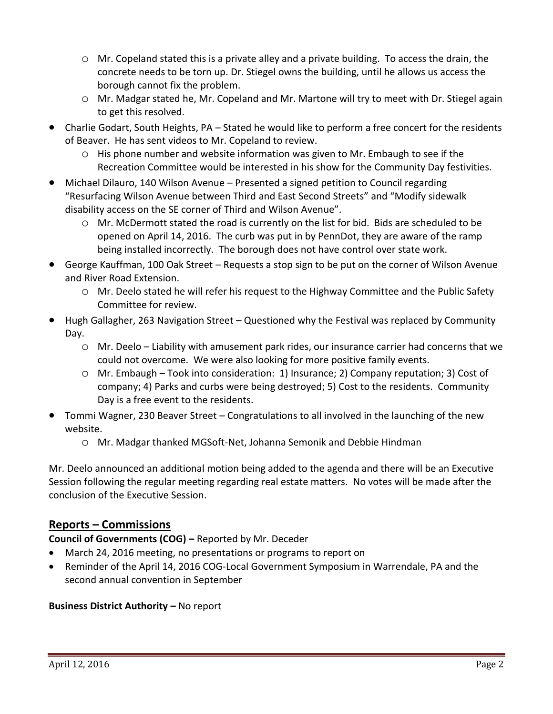- o Mr. Copeland stated this is a private alley and a private building. To access the drain, the concrete needs to be torn up. Dr. Stiegel owns the building, until he allows us access the borough cannot fix the problem.
- o Mr. Madgar stated he, Mr. Copeland and Mr. Martone will try to meet with Dr. Stiegel again to get this resolved.
- Charlie Godart, South Heights, PA Stated he would like to perform a free concert for the residents of Beaver. He has sent videos to Mr. Copeland to review.
	- $\circ$  His phone number and website information was given to Mr. Embaugh to see if the Recreation Committee would be interested in his show for the Community Day festivities.
- Michael Dilauro, 140 Wilson Avenue Presented a signed petition to Council regarding "Resurfacing Wilson Avenue between Third and East Second Streets" and "Modify sidewalk disability access on the SE corner of Third and Wilson Avenue".
	- o Mr. McDermott stated the road is currently on the list for bid. Bids are scheduled to be opened on April 14, 2016. The curb was put in by PennDot, they are aware of the ramp being installed incorrectly. The borough does not have control over state work.
- George Kauffman, 100 Oak Street Requests a stop sign to be put on the corner of Wilson Avenue and River Road Extension.
	- o Mr. Deelo stated he will refer his request to the Highway Committee and the Public Safety Committee for review.
- Hugh Gallagher, 263 Navigation Street Questioned why the Festival was replaced by Community Day.
	- o Mr. Deelo Liability with amusement park rides, our insurance carrier had concerns that we could not overcome. We were also looking for more positive family events.
	- o Mr. Embaugh Took into consideration: 1) Insurance; 2) Company reputation; 3) Cost of company; 4) Parks and curbs were being destroyed; 5) Cost to the residents. Community Day is a free event to the residents.
- Tommi Wagner, 230 Beaver Street Congratulations to all involved in the launching of the new website.
	- o Mr. Madgar thanked MGSoft-Net, Johanna Semonik and Debbie Hindman

Mr. Deelo announced an additional motion being added to the agenda and there will be an Executive Session following the regular meeting regarding real estate matters. No votes will be made after the conclusion of the Executive Session.

# **Reports – Commissions**

**Council of Governments (COG) –** Reported by Mr. Deceder

- March 24, 2016 meeting, no presentations or programs to report on
- Reminder of the April 14, 2016 COG-Local Government Symposium in Warrendale, PA and the second annual convention in September

# **Business District Authority – No report**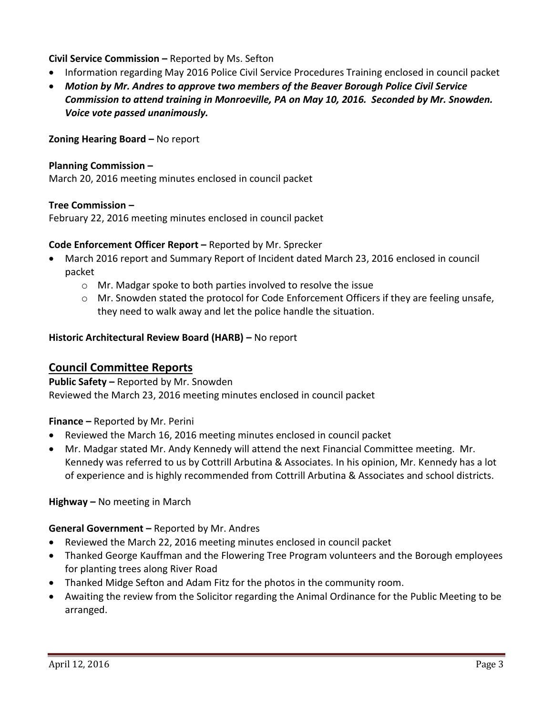**Civil Service Commission –** Reported by Ms. Sefton

- Information regarding May 2016 Police Civil Service Procedures Training enclosed in council packet
- *Motion by Mr. Andres to approve two members of the Beaver Borough Police Civil Service Commission to attend training in Monroeville, PA on May 10, 2016. Seconded by Mr. Snowden. Voice vote passed unanimously.*

**Zoning Hearing Board –** No report

### **Planning Commission –**

March 20, 2016 meeting minutes enclosed in council packet

### **Tree Commission –**

February 22, 2016 meeting minutes enclosed in council packet

### **Code Enforcement Officer Report –** Reported by Mr. Sprecker

- March 2016 report and Summary Report of Incident dated March 23, 2016 enclosed in council packet
	- o Mr. Madgar spoke to both parties involved to resolve the issue
	- $\circ$  Mr. Snowden stated the protocol for Code Enforcement Officers if they are feeling unsafe, they need to walk away and let the police handle the situation.

### **Historic Architectural Review Board (HARB) –** No report

# **Council Committee Reports**

**Public Safety –** Reported by Mr. Snowden Reviewed the March 23, 2016 meeting minutes enclosed in council packet

**Finance –** Reported by Mr. Perini

- Reviewed the March 16, 2016 meeting minutes enclosed in council packet
- Mr. Madgar stated Mr. Andy Kennedy will attend the next Financial Committee meeting. Mr. Kennedy was referred to us by Cottrill Arbutina & Associates. In his opinion, Mr. Kennedy has a lot of experience and is highly recommended from Cottrill Arbutina & Associates and school districts.

**Highway –** No meeting in March

**General Government –** Reported by Mr. Andres

- Reviewed the March 22, 2016 meeting minutes enclosed in council packet
- Thanked George Kauffman and the Flowering Tree Program volunteers and the Borough employees for planting trees along River Road
- Thanked Midge Sefton and Adam Fitz for the photos in the community room.
- Awaiting the review from the Solicitor regarding the Animal Ordinance for the Public Meeting to be arranged.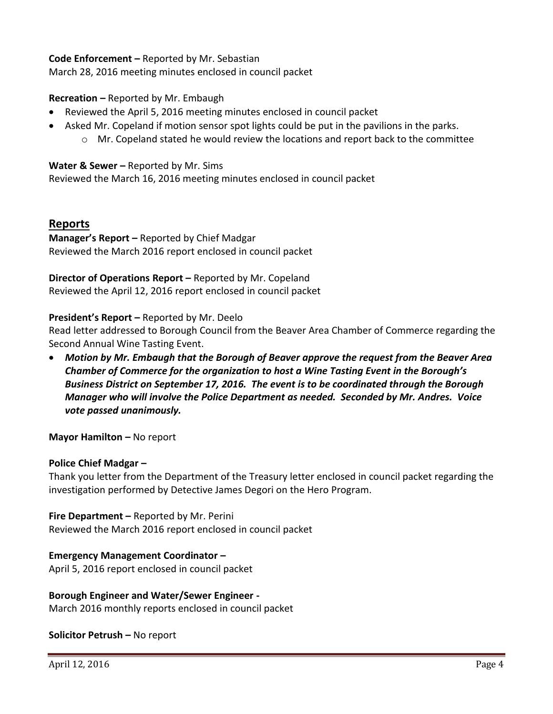### **Code Enforcement –** Reported by Mr. Sebastian

March 28, 2016 meeting minutes enclosed in council packet

### **Recreation –** Reported by Mr. Embaugh

- Reviewed the April 5, 2016 meeting minutes enclosed in council packet
- Asked Mr. Copeland if motion sensor spot lights could be put in the pavilions in the parks.
	- $\circ$  Mr. Copeland stated he would review the locations and report back to the committee

#### **Water & Sewer –** Reported by Mr. Sims

Reviewed the March 16, 2016 meeting minutes enclosed in council packet

### **Reports**

**Manager's Report –** Reported by Chief Madgar Reviewed the March 2016 report enclosed in council packet

**Director of Operations Report –** Reported by Mr. Copeland Reviewed the April 12, 2016 report enclosed in council packet

#### **President's Report –** Reported by Mr. Deelo

Read letter addressed to Borough Council from the Beaver Area Chamber of Commerce regarding the Second Annual Wine Tasting Event.

 *Motion by Mr. Embaugh that the Borough of Beaver approve the request from the Beaver Area Chamber of Commerce for the organization to host a Wine Tasting Event in the Borough's Business District on September 17, 2016. The event is to be coordinated through the Borough Manager who will involve the Police Department as needed. Seconded by Mr. Andres. Voice vote passed unanimously.*

**Mayor Hamilton – No report** 

#### **Police Chief Madgar –**

Thank you letter from the Department of the Treasury letter enclosed in council packet regarding the investigation performed by Detective James Degori on the Hero Program.

**Fire Department –** Reported by Mr. Perini Reviewed the March 2016 report enclosed in council packet

#### **Emergency Management Coordinator –**

April 5, 2016 report enclosed in council packet

#### **Borough Engineer and Water/Sewer Engineer -**

March 2016 monthly reports enclosed in council packet

#### **Solicitor Petrush –** No report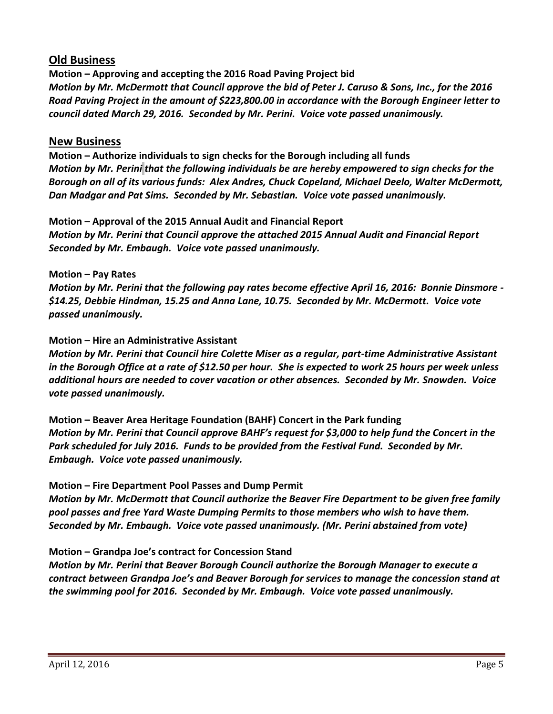# **Old Business**

**Motion – Approving and accepting the 2016 Road Paving Project bid** *Motion by Mr. McDermott that Council approve the bid of Peter J. Caruso & Sons, Inc., for the 2016 Road Paving Project in the amount of \$223,800.00 in accordance with the Borough Engineer letter to council dated March 29, 2016. Seconded by Mr. Perini. Voice vote passed unanimously.*

# **New Business**

**Motion – Authorize individuals to sign checks for the Borough including all funds** *Motion by Mr. Perini that the following individuals be are hereby empowered to sign checks for the Borough on all of its various funds: Alex Andres, Chuck Copeland, Michael Deelo, Walter McDermott, Dan Madgar and Pat Sims. Seconded by Mr. Sebastian. Voice vote passed unanimously.*

**Motion – Approval of the 2015 Annual Audit and Financial Report** *Motion by Mr. Perini that Council approve the attached 2015 Annual Audit and Financial Report Seconded by Mr. Embaugh. Voice vote passed unanimously.* 

### **Motion – Pay Rates**

*Motion by Mr. Perini that the following pay rates become effective April 16, 2016: Bonnie Dinsmore - \$14.25, Debbie Hindman, 15.25 and Anna Lane, 10.75. Seconded by Mr. McDermott. Voice vote passed unanimously.*

### **Motion – Hire an Administrative Assistant**

*Motion by Mr. Perini that Council hire Colette Miser as a regular, part-time Administrative Assistant in the Borough Office at a rate of \$12.50 per hour. She is expected to work 25 hours per week unless additional hours are needed to cover vacation or other absences. Seconded by Mr. Snowden. Voice vote passed unanimously.*

**Motion – Beaver Area Heritage Foundation (BAHF) Concert in the Park funding** *Motion by Mr. Perini that Council approve BAHF's request for \$3,000 to help fund the Concert in the Park scheduled for July 2016. Funds to be provided from the Festival Fund. Seconded by Mr. Embaugh. Voice vote passed unanimously.*

# **Motion – Fire Department Pool Passes and Dump Permit**

*Motion by Mr. McDermott that Council authorize the Beaver Fire Department to be given free family pool passes and free Yard Waste Dumping Permits to those members who wish to have them. Seconded by Mr. Embaugh. Voice vote passed unanimously. (Mr. Perini abstained from vote)*

# **Motion – Grandpa Joe's contract for Concession Stand**

*Motion by Mr. Perini that Beaver Borough Council authorize the Borough Manager to execute a contract between Grandpa Joe's and Beaver Borough for services to manage the concession stand at the swimming pool for 2016. Seconded by Mr. Embaugh. Voice vote passed unanimously.*